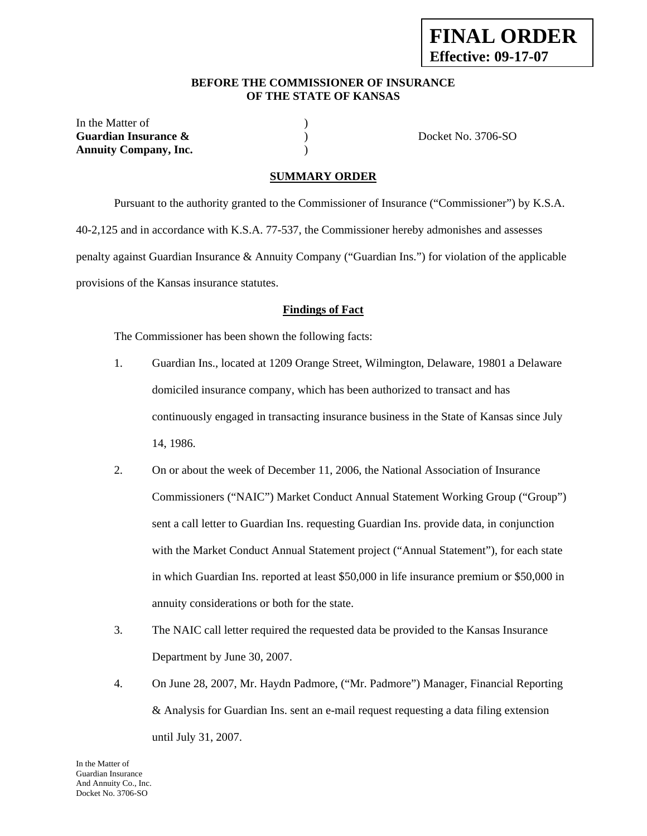### **BEFORE THE COMMISSIONER OF INSURANCE OF THE STATE OF KANSAS**

| In the Matter of             |                    |
|------------------------------|--------------------|
| Guardian Insurance &         | Docket No. 3706-SO |
| <b>Annuity Company, Inc.</b> |                    |

### **SUMMARY ORDER**

 Pursuant to the authority granted to the Commissioner of Insurance ("Commissioner") by K.S.A. 40-2,125 and in accordance with K.S.A. 77-537, the Commissioner hereby admonishes and assesses penalty against Guardian Insurance & Annuity Company ("Guardian Ins.") for violation of the applicable provisions of the Kansas insurance statutes.

#### **Findings of Fact**

The Commissioner has been shown the following facts:

- 1. Guardian Ins., located at 1209 Orange Street, Wilmington, Delaware, 19801 a Delaware domiciled insurance company, which has been authorized to transact and has continuously engaged in transacting insurance business in the State of Kansas since July 14, 1986.
- 2. On or about the week of December 11, 2006, the National Association of Insurance Commissioners ("NAIC") Market Conduct Annual Statement Working Group ("Group") sent a call letter to Guardian Ins. requesting Guardian Ins. provide data, in conjunction with the Market Conduct Annual Statement project ("Annual Statement"), for each state in which Guardian Ins. reported at least \$50,000 in life insurance premium or \$50,000 in annuity considerations or both for the state.
- 3. The NAIC call letter required the requested data be provided to the Kansas Insurance Department by June 30, 2007.
- 4. On June 28, 2007, Mr. Haydn Padmore, ("Mr. Padmore") Manager, Financial Reporting & Analysis for Guardian Ins. sent an e-mail request requesting a data filing extension until July 31, 2007.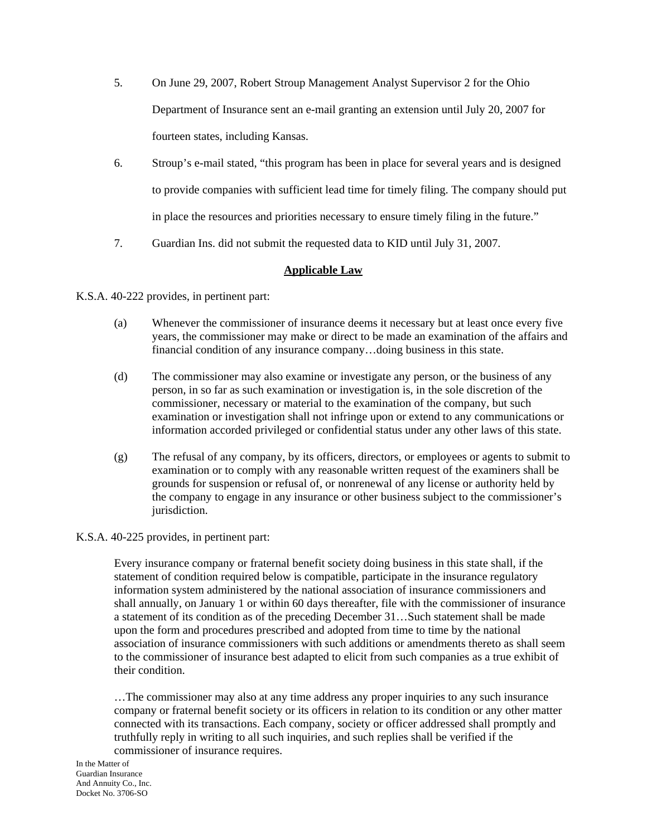- 5. On June 29, 2007, Robert Stroup Management Analyst Supervisor 2 for the Ohio Department of Insurance sent an e-mail granting an extension until July 20, 2007 for fourteen states, including Kansas.
- 6. Stroup's e-mail stated, "this program has been in place for several years and is designed to provide companies with sufficient lead time for timely filing. The company should put in place the resources and priorities necessary to ensure timely filing in the future."
- 7. Guardian Ins. did not submit the requested data to KID until July 31, 2007.

# **Applicable Law**

K.S.A. 40-222 provides, in pertinent part:

- (a) Whenever the commissioner of insurance deems it necessary but at least once every five years, the commissioner may make or direct to be made an examination of the affairs and financial condition of any insurance company…doing business in this state.
- (d) The commissioner may also examine or investigate any person, or the business of any person, in so far as such examination or investigation is, in the sole discretion of the commissioner, necessary or material to the examination of the company, but such examination or investigation shall not infringe upon or extend to any communications or information accorded privileged or confidential status under any other laws of this state.
- (g) The refusal of any company, by its officers, directors, or employees or agents to submit to examination or to comply with any reasonable written request of the examiners shall be grounds for suspension or refusal of, or nonrenewal of any license or authority held by the company to engage in any insurance or other business subject to the commissioner's jurisdiction.

### K.S.A. 40-225 provides, in pertinent part:

Every insurance company or fraternal benefit society doing business in this state shall, if the statement of condition required below is compatible, participate in the insurance regulatory information system administered by the national association of insurance commissioners and shall annually, on January 1 or within 60 days thereafter, file with the commissioner of insurance a statement of its condition as of the preceding December 31…Such statement shall be made upon the form and procedures prescribed and adopted from time to time by the national association of insurance commissioners with such additions or amendments thereto as shall seem to the commissioner of insurance best adapted to elicit from such companies as a true exhibit of their condition.

…The commissioner may also at any time address any proper inquiries to any such insurance company or fraternal benefit society or its officers in relation to its condition or any other matter connected with its transactions. Each company, society or officer addressed shall promptly and truthfully reply in writing to all such inquiries, and such replies shall be verified if the commissioner of insurance requires.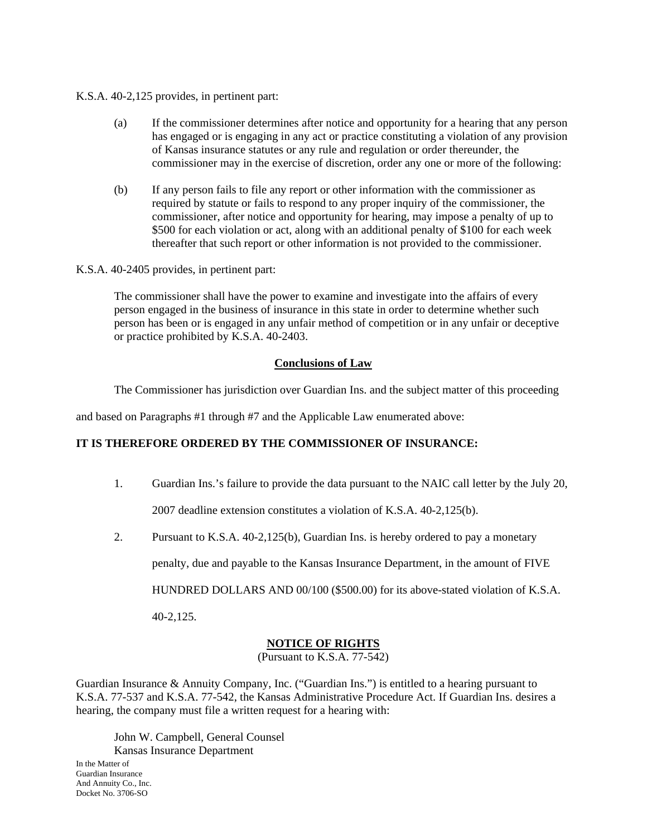### K.S.A. 40-2,125 provides, in pertinent part:

- (a) If the commissioner determines after notice and opportunity for a hearing that any person has engaged or is engaging in any act or practice constituting a violation of any provision of Kansas insurance statutes or any rule and regulation or order thereunder, the commissioner may in the exercise of discretion, order any one or more of the following:
- (b) If any person fails to file any report or other information with the commissioner as required by statute or fails to respond to any proper inquiry of the commissioner, the commissioner, after notice and opportunity for hearing, may impose a penalty of up to \$500 for each violation or act, along with an additional penalty of \$100 for each week thereafter that such report or other information is not provided to the commissioner.

#### K.S.A. 40-2405 provides, in pertinent part:

The commissioner shall have the power to examine and investigate into the affairs of every person engaged in the business of insurance in this state in order to determine whether such person has been or is engaged in any unfair method of competition or in any unfair or deceptive or practice prohibited by K.S.A. 40-2403.

### **Conclusions of Law**

The Commissioner has jurisdiction over Guardian Ins. and the subject matter of this proceeding

and based on Paragraphs #1 through #7 and the Applicable Law enumerated above:

# **IT IS THEREFORE ORDERED BY THE COMMISSIONER OF INSURANCE:**

- 1. Guardian Ins.'s failure to provide the data pursuant to the NAIC call letter by the July 20, 2007 deadline extension constitutes a violation of K.S.A. 40-2,125(b).
- 2. Pursuant to K.S.A. 40-2,125(b), Guardian Ins. is hereby ordered to pay a monetary

penalty, due and payable to the Kansas Insurance Department, in the amount of FIVE

HUNDRED DOLLARS AND 00/100 (\$500.00) for its above-stated violation of K.S.A.

40-2,125.

# **NOTICE OF RIGHTS**

(Pursuant to K.S.A. 77-542)

Guardian Insurance & Annuity Company, Inc. ("Guardian Ins.") is entitled to a hearing pursuant to K.S.A. 77-537 and K.S.A. 77-542, the Kansas Administrative Procedure Act. If Guardian Ins. desires a hearing, the company must file a written request for a hearing with:

In the Matter of Guardian Insurance And Annuity Co., Inc. Docket No. 3706-SO John W. Campbell, General Counsel Kansas Insurance Department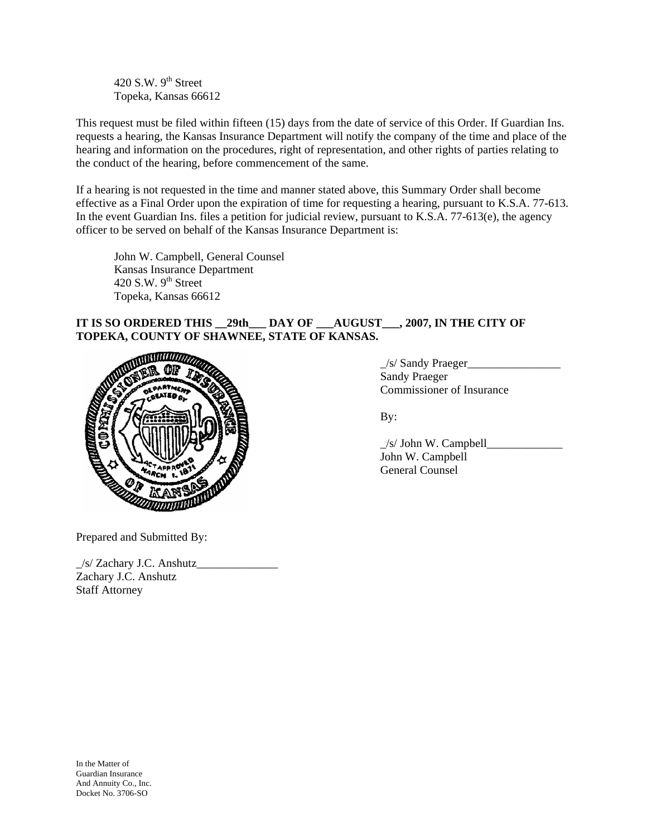420 S.W.  $9<sup>th</sup>$  Street Topeka, Kansas 66612

This request must be filed within fifteen (15) days from the date of service of this Order. If Guardian Ins. requests a hearing, the Kansas Insurance Department will notify the company of the time and place of the hearing and information on the procedures, right of representation, and other rights of parties relating to the conduct of the hearing, before commencement of the same.

If a hearing is not requested in the time and manner stated above, this Summary Order shall become effective as a Final Order upon the expiration of time for requesting a hearing, pursuant to K.S.A. 77-613. In the event Guardian Ins. files a petition for judicial review, pursuant to  $K.S.A. 77-613(e)$ , the agency officer to be served on behalf of the Kansas Insurance Department is:

 John W. Campbell, General Counsel Kansas Insurance Department 420 S.W.  $9<sup>th</sup>$  Street Topeka, Kansas 66612

# **IT IS SO ORDERED THIS \_\_29th\_\_\_ DAY OF \_\_\_AUGUST\_\_\_, 2007, IN THE CITY OF TOPEKA, COUNTY OF SHAWNEE, STATE OF KANSAS.**



\_/s/ Sandy Praeger\_\_\_\_\_\_\_\_\_\_\_\_\_\_\_\_ Sandy Praeger Commissioner of Insurance

| <b>El Company</b> | /s/ John W. Campbell |
|-------------------|----------------------|
|                   | John W. Campbell     |
|                   | General Counsel      |

Prepared and Submitted By:

\_/s/ Zachary J.C. Anshutz\_\_\_\_\_\_\_\_\_\_\_\_\_\_ Zachary J.C. Anshutz Staff Attorney